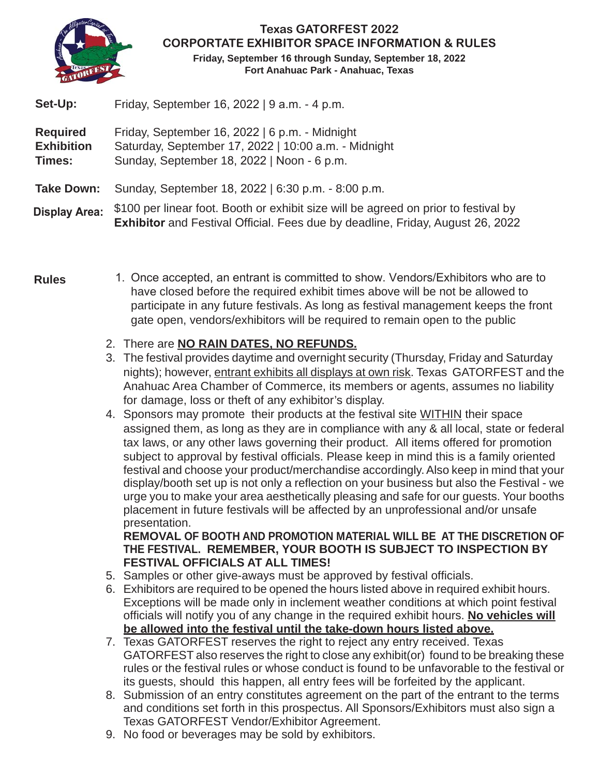

## **Texas GATORFEST 2022 CORPORTATE EXHIBITOR SPACE INFORMATION & RULES Friday, September 16 through Sunday, September 18, 2022**

**Fort Anahuac Park - Anahuac, Texas**

**Set-Up:** Friday, September 16, 2022 | 9 a.m. - 4 p.m.

**Required Exhibition Times:** Friday, September 16, 2022 | 6 p.m. - Midnight Saturday, September 17, 2022 | 10:00 a.m. - Midnight Sunday, September 18, 2022 | Noon - 6 p.m.

**Take Down:** Sunday, September 18, 2022 | 6:30 p.m. - 8:00 p.m.

\$100 per linear foot. Booth or exhibit size will be agreed on prior to festival by **Exhibitor** and Festival Official. Fees due by deadline, Friday, August 26, 2022 **Display Area:**

**Rules** 1. Once accepted, an entrant is committed to show. Vendors/Exhibitors who are to have closed before the required exhibit times above will be not be allowed to participate in any future festivals. As long as festival management keeps the front gate open, vendors/exhibitors will be required to remain open to the public

## 2. There are **NO RAIN DATES, NO REFUNDS.**

- 3. The festival provides daytime and overnight security (Thursday, Friday and Saturday nights); however, entrant exhibits all displays at own risk. Texas GATORFEST and the Anahuac Area Chamber of Commerce, its members or agents, assumes no liability for damage, loss or theft of any exhibitor's display.
- 4. Sponsors may promote their products at the festival site WITHIN their space assigned them, as long as they are in compliance with any & all local, state or federal tax laws, or any other laws governing their product. All items offered for promotion subject to approval by festival officials. Please keep in mind this is a family oriented festival and choose your product/merchandise accordingly. Also keep in mind that your display/booth set up is not only a reflection on your business but also the Festival - we urge you to make your area aesthetically pleasing and safe for our guests. Your booths placement in future festivals will be affected by an unprofessional and/or unsafe presentation.

**REMOVAL OF BOOTH AND PROMOTION MATERIAL WILL BE AT THE DISCRETION OF THE FESTIVAL. REMEMBER, YOUR BOOTH IS SUBJECT TO INSPECTION BY FESTIVAL OFFICIALS AT ALL TIMES!**

- 5. Samples or other give-aways must be approved by festival officials.
- 6. Exhibitors are required to be opened the hours listed above in required exhibit hours. Exceptions will be made only in inclement weather conditions at which point festival officials will notify you of any change in the required exhibit hours. No vehicles will **be allowed into the festival until the take-down hours listed above.**
- 7. Texas GATORFEST reserves the right to reject any entry received. Texas GATORFEST also reserves the right to close any exhibit(or) found to be breaking these rules or the festival rules or whose conduct is found to be unfavorable to the festival or its guests, should this happen, all entry fees will be forfeited by the applicant.
- 8. Submission of an entry constitutes agreement on the part of the entrant to the terms and conditions set forth in this prospectus. All Sponsors/Exhibitors must also sign a Texas GATORFEST Vendor/Exhibitor Agreement.
- 9. No food or beverages may be sold by exhibitors.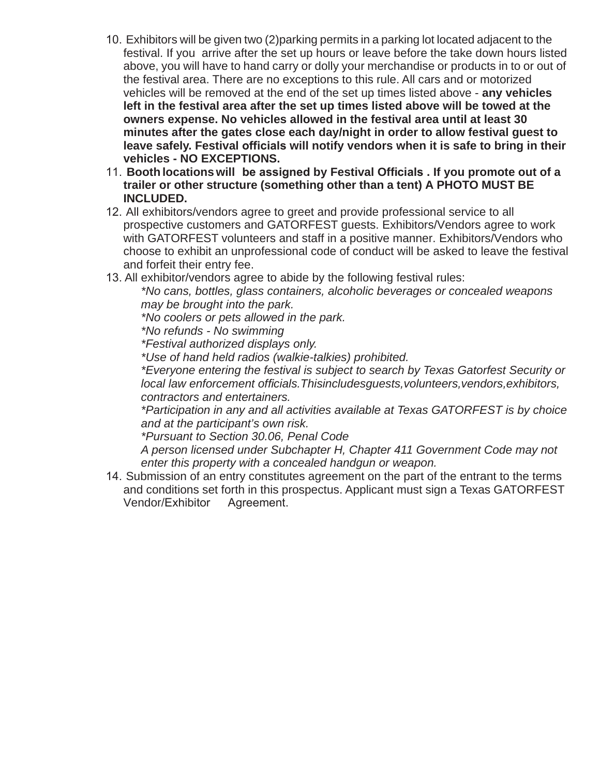- 10. Exhibitors will be given two (2)parking permits in a parking lot located adjacent to the festival. If you arrive after the set up hours or leave before the take down hours listed above, you will have to hand carry or dolly your merchandise or products in to or out of the festival area. There are no exceptions to this rule. All cars and or motorized vehicles will be removed at the end of the set up times listed above - **any vehicles left in the festival area after the set up times listed above will be towed at the owners expense. No vehicles allowed in the festival area until at least 30 minutes after the gates close each day/night in order to allow festival guest to leave safely. Festival officials will notify vendors when it is safe to bring in their vehicles - NO EXCEPTIONS.**
- 11. **Booth locations will be assigned by Festival Officials . If you promote out of a trailer or other structure (something other than a tent) A PHOTO MUST BE INCLUDED.**
- 12. All exhibitors/vendors agree to greet and provide professional service to all prospective customers and GATORFEST guests. Exhibitors/Vendors agree to work with GATORFEST volunteers and staff in a positive manner. Exhibitors/Vendors who choose to exhibit an unprofessional code of conduct will be asked to leave the festival and forfeit their entry fee.
- 13. All exhibitor/vendors agree to abide by the following festival rules:

*\*No cans, bottles, glass containers, alcoholic beverages or concealed weapons may be brought into the park.*

*\*No coolers or pets allowed in the park.*

*\*No refunds - No swimming*

*\*Festival authorized displays only.*

*\*Use of hand held radios (walkie-talkies) prohibited.*

*\*Everyone entering the festival is subject to search by Texas Gatorfest Security or local law enforcement officials. This includes guests, volunteers, vendors,exhibitors, contractors and entertainers.*

*\*Participation in any and all activities available at Texas GATORFEST is by choice and at the participant's own risk.*

*\*Pursuant to Section 30.06, Penal Code*

*A person licensed under Subchapter H, Chapter 411 Government Code may not enter this property with a concealed handgun or weapon.*

14. Submission of an entry constitutes agreement on the part of the entrant to the terms and conditions set forth in this prospectus. Applicant must sign a Texas GATORFEST Vendor/Exhibitor Agreement.